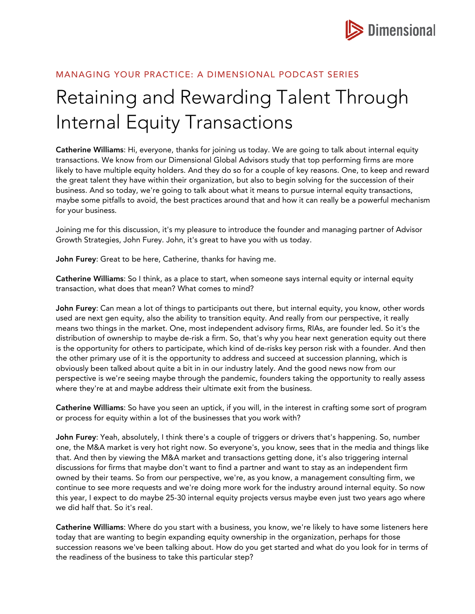

## MANAGING YOUR PRACTICE: A DIMENSIONAL PODCAST SERIES

## Retaining and Rewarding Talent Through Internal Equity Transactions

Catherine Williams: Hi, everyone, thanks for joining us today. We are going to talk about internal equity transactions. We know from our Dimensional Global Advisors study that top performing firms are more likely to have multiple equity holders. And they do so for a couple of key reasons. One, to keep and reward the great talent they have within their organization, but also to begin solving for the succession of their business. And so today, we're going to talk about what it means to pursue internal equity transactions, maybe some pitfalls to avoid, the best practices around that and how it can really be a powerful mechanism for your business.

Joining me for this discussion, it's my pleasure to introduce the founder and managing partner of Advisor Growth Strategies, John Furey. John, it's great to have you with us today.

John Furey: Great to be here, Catherine, thanks for having me.

Catherine Williams: So I think, as a place to start, when someone says internal equity or internal equity transaction, what does that mean? What comes to mind?

John Furey: Can mean a lot of things to participants out there, but internal equity, you know, other words used are next gen equity, also the ability to transition equity. And really from our perspective, it really means two things in the market. One, most independent advisory firms, RIAs, are founder led. So it's the distribution of ownership to maybe de-risk a firm. So, that's why you hear next generation equity out there is the opportunity for others to participate, which kind of de-risks key person risk with a founder. And then the other primary use of it is the opportunity to address and succeed at succession planning, which is obviously been talked about quite a bit in in our industry lately. And the good news now from our perspective is we're seeing maybe through the pandemic, founders taking the opportunity to really assess where they're at and maybe address their ultimate exit from the business.

Catherine Williams: So have you seen an uptick, if you will, in the interest in crafting some sort of program or process for equity within a lot of the businesses that you work with?

John Furey: Yeah, absolutely, I think there's a couple of triggers or drivers that's happening. So, number one, the M&A market is very hot right now. So everyone's, you know, sees that in the media and things like that. And then by viewing the M&A market and transactions getting done, it's also triggering internal discussions for firms that maybe don't want to find a partner and want to stay as an independent firm owned by their teams. So from our perspective, we're, as you know, a management consulting firm, we continue to see more requests and we're doing more work for the industry around internal equity. So now this year, I expect to do maybe 25-30 internal equity projects versus maybe even just two years ago where we did half that. So it's real.

Catherine Williams: Where do you start with a business, you know, we're likely to have some listeners here today that are wanting to begin expanding equity ownership in the organization, perhaps for those succession reasons we've been talking about. How do you get started and what do you look for in terms of the readiness of the business to take this particular step?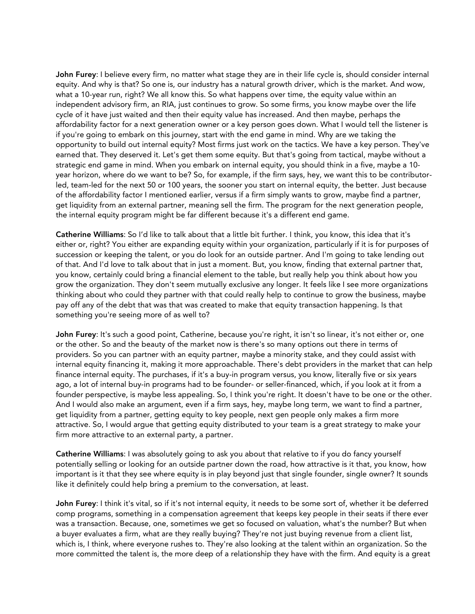John Furey: I believe every firm, no matter what stage they are in their life cycle is, should consider internal equity. And why is that? So one is, our industry has a natural growth driver, which is the market. And wow, what a 10-year run, right? We all know this. So what happens over time, the equity value within an independent advisory firm, an RIA, just continues to grow. So some firms, you know maybe over the life cycle of it have just waited and then their equity value has increased. And then maybe, perhaps the affordability factor for a next generation owner or a key person goes down. What I would tell the listener is if you're going to embark on this journey, start with the end game in mind. Why are we taking the opportunity to build out internal equity? Most firms just work on the tactics. We have a key person. They've earned that. They deserved it. Let's get them some equity. But that's going from tactical, maybe without a strategic end game in mind. When you embark on internal equity, you should think in a five, maybe a 10 year horizon, where do we want to be? So, for example, if the firm says, hey, we want this to be contributorled, team-led for the next 50 or 100 years, the sooner you start on internal equity, the better. Just because of the affordability factor I mentioned earlier, versus if a firm simply wants to grow, maybe find a partner, get liquidity from an external partner, meaning sell the firm. The program for the next generation people, the internal equity program might be far different because it's a different end game.

Catherine Williams: So I'd like to talk about that a little bit further. I think, you know, this idea that it's either or, right? You either are expanding equity within your organization, particularly if it is for purposes of succession or keeping the talent, or you do look for an outside partner. And I'm going to take lending out of that. And I'd love to talk about that in just a moment. But, you know, finding that external partner that, you know, certainly could bring a financial element to the table, but really help you think about how you grow the organization. They don't seem mutually exclusive any longer. It feels like I see more organizations thinking about who could they partner with that could really help to continue to grow the business, maybe pay off any of the debt that was that was created to make that equity transaction happening. Is that something you're seeing more of as well to?

John Furey: It's such a good point, Catherine, because you're right, it isn't so linear, it's not either or, one or the other. So and the beauty of the market now is there's so many options out there in terms of providers. So you can partner with an equity partner, maybe a minority stake, and they could assist with internal equity financing it, making it more approachable. There's debt providers in the market that can help finance internal equity. The purchases, if it's a buy-in program versus, you know, literally five or six years ago, a lot of internal buy-in programs had to be founder- or seller-financed, which, if you look at it from a founder perspective, is maybe less appealing. So, I think you're right. It doesn't have to be one or the other. And I would also make an argument, even if a firm says, hey, maybe long term, we want to find a partner, get liquidity from a partner, getting equity to key people, next gen people only makes a firm more attractive. So, I would argue that getting equity distributed to your team is a great strategy to make your firm more attractive to an external party, a partner.

Catherine Williams: I was absolutely going to ask you about that relative to if you do fancy yourself potentially selling or looking for an outside partner down the road, how attractive is it that, you know, how important is it that they see where equity is in play beyond just that single founder, single owner? It sounds like it definitely could help bring a premium to the conversation, at least.

John Furey: I think it's vital, so if it's not internal equity, it needs to be some sort of, whether it be deferred comp programs, something in a compensation agreement that keeps key people in their seats if there ever was a transaction. Because, one, sometimes we get so focused on valuation, what's the number? But when a buyer evaluates a firm, what are they really buying? They're not just buying revenue from a client list, which is, I think, where everyone rushes to. They're also looking at the talent within an organization. So the more committed the talent is, the more deep of a relationship they have with the firm. And equity is a great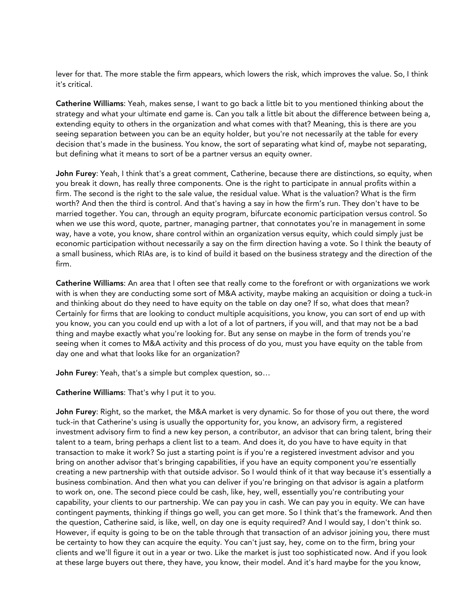lever for that. The more stable the firm appears, which lowers the risk, which improves the value. So, I think it's critical.

Catherine Williams: Yeah, makes sense, I want to go back a little bit to you mentioned thinking about the strategy and what your ultimate end game is. Can you talk a little bit about the difference between being a, extending equity to others in the organization and what comes with that? Meaning, this is there are you seeing separation between you can be an equity holder, but you're not necessarily at the table for every decision that's made in the business. You know, the sort of separating what kind of, maybe not separating, but defining what it means to sort of be a partner versus an equity owner.

John Furey: Yeah, I think that's a great comment, Catherine, because there are distinctions, so equity, when you break it down, has really three components. One is the right to participate in annual profits within a firm. The second is the right to the sale value, the residual value. What is the valuation? What is the firm worth? And then the third is control. And that's having a say in how the firm's run. They don't have to be married together. You can, through an equity program, bifurcate economic participation versus control. So when we use this word, quote, partner, managing partner, that connotates you're in management in some way, have a vote, you know, share control within an organization versus equity, which could simply just be economic participation without necessarily a say on the firm direction having a vote. So I think the beauty of a small business, which RIAs are, is to kind of build it based on the business strategy and the direction of the firm.

Catherine Williams: An area that I often see that really come to the forefront or with organizations we work with is when they are conducting some sort of M&A activity, maybe making an acquisition or doing a tuck-in and thinking about do they need to have equity on the table on day one? If so, what does that mean? Certainly for firms that are looking to conduct multiple acquisitions, you know, you can sort of end up with you know, you can you could end up with a lot of a lot of partners, if you will, and that may not be a bad thing and maybe exactly what you're looking for. But any sense on maybe in the form of trends you're seeing when it comes to M&A activity and this process of do you, must you have equity on the table from day one and what that looks like for an organization?

John Furey: Yeah, that's a simple but complex question, so…

Catherine Williams: That's why I put it to you.

John Furey: Right, so the market, the M&A market is very dynamic. So for those of you out there, the word tuck-in that Catherine's using is usually the opportunity for, you know, an advisory firm, a registered investment advisory firm to find a new key person, a contributor, an advisor that can bring talent, bring their talent to a team, bring perhaps a client list to a team. And does it, do you have to have equity in that transaction to make it work? So just a starting point is if you're a registered investment advisor and you bring on another advisor that's bringing capabilities, if you have an equity component you're essentially creating a new partnership with that outside advisor. So I would think of it that way because it's essentially a business combination. And then what you can deliver if you're bringing on that advisor is again a platform to work on, one. The second piece could be cash, like, hey, well, essentially you're contributing your capability, your clients to our partnership. We can pay you in cash. We can pay you in equity. We can have contingent payments, thinking if things go well, you can get more. So I think that's the framework. And then the question, Catherine said, is like, well, on day one is equity required? And I would say, I don't think so. However, if equity is going to be on the table through that transaction of an advisor joining you, there must be certainty to how they can acquire the equity. You can't just say, hey, come on to the firm, bring your clients and we'll figure it out in a year or two. Like the market is just too sophisticated now. And if you look at these large buyers out there, they have, you know, their model. And it's hard maybe for the you know,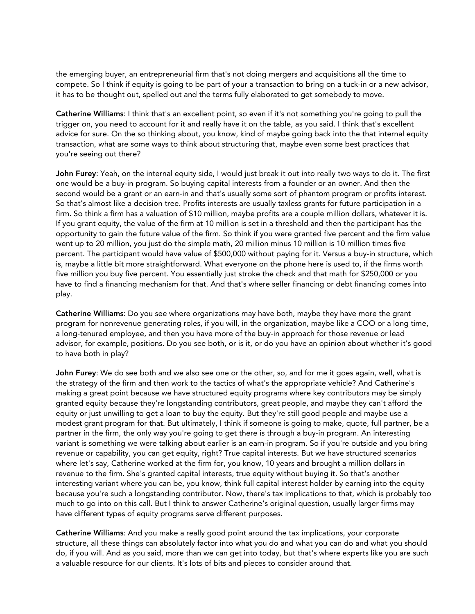the emerging buyer, an entrepreneurial firm that's not doing mergers and acquisitions all the time to compete. So I think if equity is going to be part of your a transaction to bring on a tuck-in or a new advisor, it has to be thought out, spelled out and the terms fully elaborated to get somebody to move.

Catherine Williams: I think that's an excellent point, so even if it's not something you're going to pull the trigger on, you need to account for it and really have it on the table, as you said. I think that's excellent advice for sure. On the so thinking about, you know, kind of maybe going back into the that internal equity transaction, what are some ways to think about structuring that, maybe even some best practices that you're seeing out there?

John Furey: Yeah, on the internal equity side, I would just break it out into really two ways to do it. The first one would be a buy-in program. So buying capital interests from a founder or an owner. And then the second would be a grant or an earn-in and that's usually some sort of phantom program or profits interest. So that's almost like a decision tree. Profits interests are usually taxless grants for future participation in a firm. So think a firm has a valuation of \$10 million, maybe profits are a couple million dollars, whatever it is. If you grant equity, the value of the firm at 10 million is set in a threshold and then the participant has the opportunity to gain the future value of the firm. So think if you were granted five percent and the firm value went up to 20 million, you just do the simple math, 20 million minus 10 million is 10 million times five percent. The participant would have value of \$500,000 without paying for it. Versus a buy-in structure, which is, maybe a little bit more straightforward. What everyone on the phone here is used to, if the firms worth five million you buy five percent. You essentially just stroke the check and that math for \$250,000 or you have to find a financing mechanism for that. And that's where seller financing or debt financing comes into play.

Catherine Williams: Do you see where organizations may have both, maybe they have more the grant program for nonrevenue generating roles, if you will, in the organization, maybe like a COO or a long time, a long-tenured employee, and then you have more of the buy-in approach for those revenue or lead advisor, for example, positions. Do you see both, or is it, or do you have an opinion about whether it's good to have both in play?

John Furey: We do see both and we also see one or the other, so, and for me it goes again, well, what is the strategy of the firm and then work to the tactics of what's the appropriate vehicle? And Catherine's making a great point because we have structured equity programs where key contributors may be simply granted equity because they're longstanding contributors, great people, and maybe they can't afford the equity or just unwilling to get a loan to buy the equity. But they're still good people and maybe use a modest grant program for that. But ultimately, I think if someone is going to make, quote, full partner, be a partner in the firm, the only way you're going to get there is through a buy-in program. An interesting variant is something we were talking about earlier is an earn-in program. So if you're outside and you bring revenue or capability, you can get equity, right? True capital interests. But we have structured scenarios where let's say, Catherine worked at the firm for, you know, 10 years and brought a million dollars in revenue to the firm. She's granted capital interests, true equity without buying it. So that's another interesting variant where you can be, you know, think full capital interest holder by earning into the equity because you're such a longstanding contributor. Now, there's tax implications to that, which is probably too much to go into on this call. But I think to answer Catherine's original question, usually larger firms may have different types of equity programs serve different purposes.

Catherine Williams: And you make a really good point around the tax implications, your corporate structure, all these things can absolutely factor into what you do and what you can do and what you should do, if you will. And as you said, more than we can get into today, but that's where experts like you are such a valuable resource for our clients. It's lots of bits and pieces to consider around that.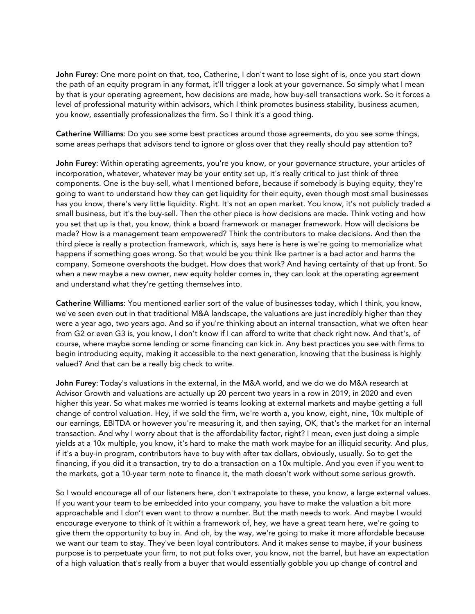John Furey: One more point on that, too, Catherine, I don't want to lose sight of is, once you start down the path of an equity program in any format, it'll trigger a look at your governance. So simply what I mean by that is your operating agreement, how decisions are made, how buy-sell transactions work. So it forces a level of professional maturity within advisors, which I think promotes business stability, business acumen, you know, essentially professionalizes the firm. So I think it's a good thing.

Catherine Williams: Do you see some best practices around those agreements, do you see some things, some areas perhaps that advisors tend to ignore or gloss over that they really should pay attention to?

John Furey: Within operating agreements, you're you know, or your governance structure, your articles of incorporation, whatever, whatever may be your entity set up, it's really critical to just think of three components. One is the buy-sell, what I mentioned before, because if somebody is buying equity, they're going to want to understand how they can get liquidity for their equity, even though most small businesses has you know, there's very little liquidity. Right. It's not an open market. You know, it's not publicly traded a small business, but it's the buy-sell. Then the other piece is how decisions are made. Think voting and how you set that up is that, you know, think a board framework or manager framework. How will decisions be made? How is a management team empowered? Think the contributors to make decisions. And then the third piece is really a protection framework, which is, says here is here is we're going to memorialize what happens if something goes wrong. So that would be you think like partner is a bad actor and harms the company. Someone overshoots the budget. How does that work? And having certainty of that up front. So when a new maybe a new owner, new equity holder comes in, they can look at the operating agreement and understand what they're getting themselves into.

Catherine Williams: You mentioned earlier sort of the value of businesses today, which I think, you know, we've seen even out in that traditional M&A landscape, the valuations are just incredibly higher than they were a year ago, two years ago. And so if you're thinking about an internal transaction, what we often hear from G2 or even G3 is, you know, I don't know if I can afford to write that check right now. And that's, of course, where maybe some lending or some financing can kick in. Any best practices you see with firms to begin introducing equity, making it accessible to the next generation, knowing that the business is highly valued? And that can be a really big check to write.

John Furey: Today's valuations in the external, in the M&A world, and we do we do M&A research at Advisor Growth and valuations are actually up 20 percent two years in a row in 2019, in 2020 and even higher this year. So what makes me worried is teams looking at external markets and maybe getting a full change of control valuation. Hey, if we sold the firm, we're worth a, you know, eight, nine, 10x multiple of our earnings, EBITDA or however you're measuring it, and then saying, OK, that's the market for an internal transaction. And why I worry about that is the affordability factor, right? I mean, even just doing a simple yields at a 10x multiple, you know, it's hard to make the math work maybe for an illiquid security. And plus, if it's a buy-in program, contributors have to buy with after tax dollars, obviously, usually. So to get the financing, if you did it a transaction, try to do a transaction on a 10x multiple. And you even if you went to the markets, got a 10-year term note to finance it, the math doesn't work without some serious growth.

So I would encourage all of our listeners here, don't extrapolate to these, you know, a large external values. If you want your team to be embedded into your company, you have to make the valuation a bit more approachable and I don't even want to throw a number. But the math needs to work. And maybe I would encourage everyone to think of it within a framework of, hey, we have a great team here, we're going to give them the opportunity to buy in. And oh, by the way, we're going to make it more affordable because we want our team to stay. They've been loyal contributors. And it makes sense to maybe, if your business purpose is to perpetuate your firm, to not put folks over, you know, not the barrel, but have an expectation of a high valuation that's really from a buyer that would essentially gobble you up change of control and